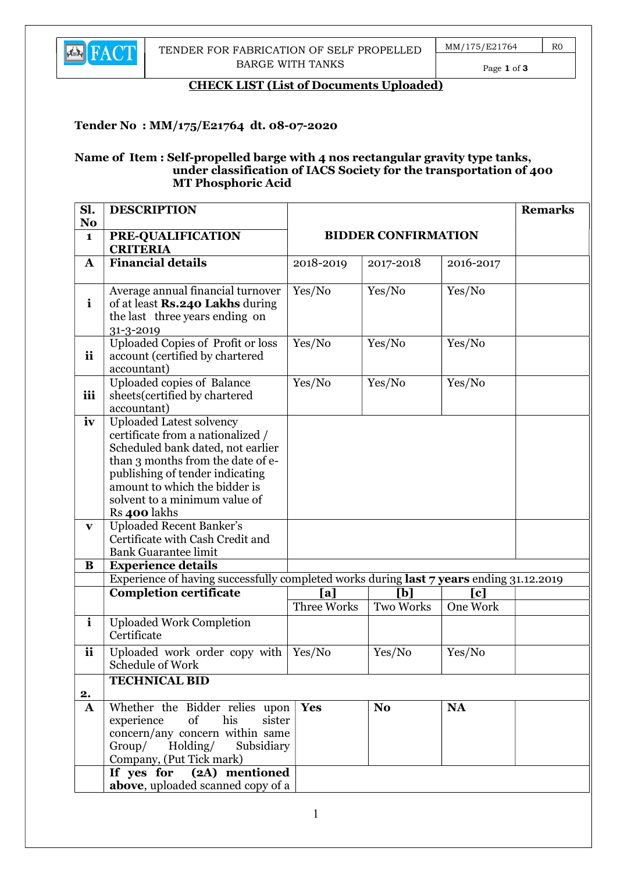

Page 1 of 3

#### CHECK LIST (List of Documents Uploaded)

### Tender No : MM/175/E21764 dt. 08-07-2020

#### Name of Item : Self-propelled barge with 4 nos rectangular gravity type tanks, under classification of IACS Society for the transportation of 400 MT Phosphoric Acid

| Sl.                            | <b>DESCRIPTION</b>                                                                                                                                                                                                                                                  |             |                            |           | <b>Remarks</b> |
|--------------------------------|---------------------------------------------------------------------------------------------------------------------------------------------------------------------------------------------------------------------------------------------------------------------|-------------|----------------------------|-----------|----------------|
| N <sub>o</sub><br>$\mathbf{1}$ | PRE-QUALIFICATION                                                                                                                                                                                                                                                   |             | <b>BIDDER CONFIRMATION</b> |           |                |
|                                | <b>CRITERIA</b>                                                                                                                                                                                                                                                     |             |                            |           |                |
| $\mathbf A$                    | <b>Financial details</b>                                                                                                                                                                                                                                            | 2018-2019   | 2017-2018                  | 2016-2017 |                |
| $\mathbf{i}$                   | Average annual financial turnover<br>of at least Rs.240 Lakhs during<br>the last three years ending on<br>31-3-2019                                                                                                                                                 | Yes/No      | Yes/No                     | Yes/No    |                |
| <i>ii</i>                      | <b>Uploaded Copies of Profit or loss</b><br>account (certified by chartered<br>accountant)                                                                                                                                                                          | Yes/No      | Yes/No                     | Yes/No    |                |
| iii                            | Uploaded copies of Balance<br>sheets (certified by chartered<br>accountant)                                                                                                                                                                                         | Yes/No      | Yes/No                     | Yes/No    |                |
| iv                             | <b>Uploaded Latest solvency</b><br>certificate from a nationalized /<br>Scheduled bank dated, not earlier<br>than 3 months from the date of e-<br>publishing of tender indicating<br>amount to which the bidder is<br>solvent to a minimum value of<br>Rs 400 lakhs |             |                            |           |                |
| $\mathbf{v}$                   | <b>Uploaded Recent Banker's</b><br>Certificate with Cash Credit and<br><b>Bank Guarantee limit</b>                                                                                                                                                                  |             |                            |           |                |
| B                              | <b>Experience details</b><br>Experience of having successfully completed works during last 7 years ending 31.12.2019                                                                                                                                                |             |                            |           |                |
|                                | <b>Completion certificate</b>                                                                                                                                                                                                                                       | [a]         | [b]                        | [c]       |                |
|                                |                                                                                                                                                                                                                                                                     | Three Works | <b>Two Works</b>           | One Work  |                |
| $\mathbf{i}$                   | <b>Uploaded Work Completion</b><br>Certificate                                                                                                                                                                                                                      |             |                            |           |                |
| <i>ii</i>                      | Uploaded work order copy with<br>Schedule of Work                                                                                                                                                                                                                   | Yes/No      | Yes/No                     | Yes/No    |                |
| 2.                             | <b>TECHNICAL BID</b>                                                                                                                                                                                                                                                |             |                            |           |                |
| ${\bf A}$                      | Whether the Bidder relies upon<br>his<br>experience<br>of<br>sister<br>concern/any concern within same<br>Group/ Holding/ Subsidiary<br>Company, (Put Tick mark)                                                                                                    | <b>Yes</b>  | No.                        | <b>NA</b> |                |
|                                | If yes $\overline{for}$ $\overline{(2A)}$ mentioned<br>above, uploaded scanned copy of a                                                                                                                                                                            |             |                            |           |                |
|                                |                                                                                                                                                                                                                                                                     |             |                            |           |                |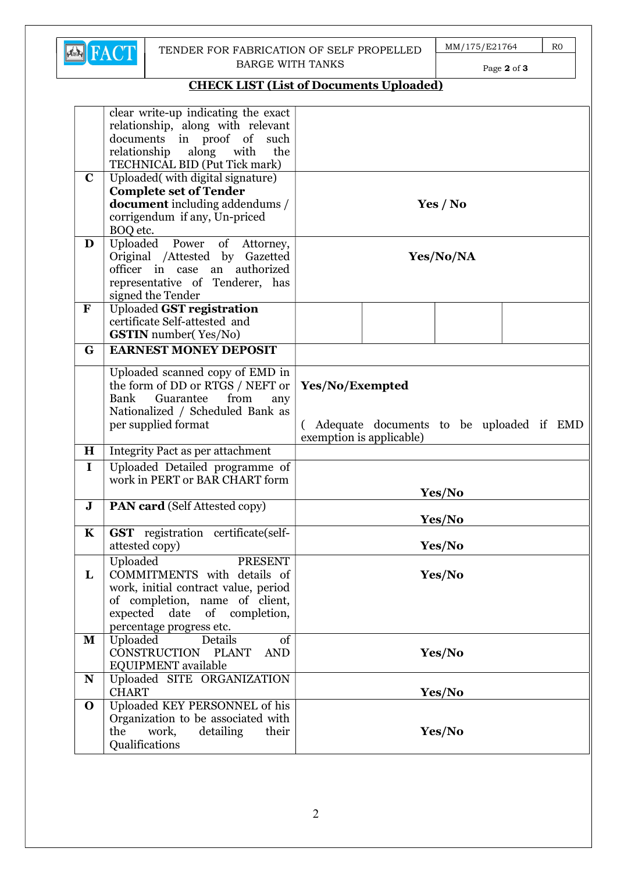

#### TENDER FOR FABRICATION OF SELF PROPELLED BARGE WITH TANKS

MM/175/E21764 R0

Page 2 of 3

# CHECK LIST (List of Documents Uploaded)

|              | clear write-up indicating the exact<br>relationship, along with relevant |                                          |  |
|--------------|--------------------------------------------------------------------------|------------------------------------------|--|
|              | documents in proof of<br>such                                            |                                          |  |
|              | along<br>relationship<br>with<br>the                                     |                                          |  |
|              | TECHNICAL BID (Put Tick mark)                                            |                                          |  |
| $\mathbf C$  | Uploaded(with digital signature)                                         |                                          |  |
|              | <b>Complete set of Tender</b>                                            |                                          |  |
|              | <b>document</b> including addendums /                                    | Yes / No                                 |  |
|              | corrigendum if any, Un-priced                                            |                                          |  |
|              | BOQ etc.                                                                 |                                          |  |
| D            | Uploaded Power of Attorney,                                              |                                          |  |
|              | Original /Attested by Gazetted<br>officer in case an authorized          | Yes/No/NA                                |  |
|              | representative of Tenderer, has                                          |                                          |  |
|              | signed the Tender                                                        |                                          |  |
| $\mathbf F$  | <b>Uploaded GST registration</b>                                         |                                          |  |
|              | certificate Self-attested and                                            |                                          |  |
|              | <b>GSTIN</b> number(Yes/No)                                              |                                          |  |
| G            | <b>EARNEST MONEY DEPOSIT</b>                                             |                                          |  |
|              | Uploaded scanned copy of EMD in                                          |                                          |  |
|              | the form of DD or RTGS / NEFT or                                         | Yes/No/Exempted                          |  |
|              | from<br>Bank<br>Guarantee<br>any                                         |                                          |  |
|              | Nationalized / Scheduled Bank as                                         |                                          |  |
|              | per supplied format                                                      | Adequate documents to be uploaded if EMD |  |
| $\bf H$      |                                                                          | exemption is applicable)                 |  |
| $\mathbf I$  | Integrity Pact as per attachment                                         |                                          |  |
|              | Uploaded Detailed programme of<br>work in PERT or BAR CHART form         |                                          |  |
|              |                                                                          | Yes/No                                   |  |
| $\mathbf J$  | <b>PAN card</b> (Self Attested copy)                                     |                                          |  |
|              |                                                                          | Yes/No                                   |  |
| $\mathbf K$  | <b>GST</b> registration certificate(self-                                |                                          |  |
|              | attested copy)                                                           | Yes/No                                   |  |
|              | Uploaded<br><b>PRESENT</b>                                               |                                          |  |
| L            | COMMITMENTS with details of                                              | Yes/No                                   |  |
|              | work, initial contract value, period                                     |                                          |  |
|              | of completion, name of client,                                           |                                          |  |
|              | expected date of completion,                                             |                                          |  |
| $\mathbf{M}$ | percentage progress etc.<br>Uploaded<br>Details<br>of                    |                                          |  |
|              | CONSTRUCTION PLANT<br><b>AND</b>                                         | Yes/No                                   |  |
|              | EQUIPMENT available                                                      |                                          |  |
| $\mathbf N$  | Uploaded SITE ORGANIZATION                                               |                                          |  |
|              | <b>CHART</b>                                                             | Yes/No                                   |  |
| $\mathbf 0$  | Uploaded KEY PERSONNEL of his                                            |                                          |  |
|              |                                                                          |                                          |  |
|              | Organization to be associated with                                       |                                          |  |
|              | the<br>work,<br>detailing<br>their<br>Qualifications                     | Yes/No                                   |  |